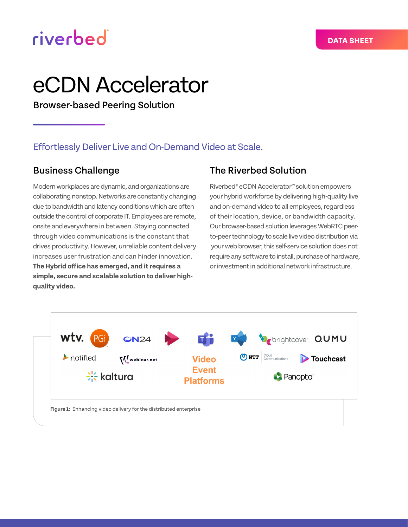## riverbed

# eCDN Accelerator

Browser-based Peering Solution

## Effortlessly Deliver Live and On-Demand Video at Scale.

## Business Challenge

Modern workplaces are dynamic, and organizations are collaborating nonstop. Networks are constantly changing due to bandwidth and latency conditions which are often outside the control of corporate IT. Employees are remote, onsite and everywhere in between. Staying connected through video communications is the constant that drives productivity. However, unreliable content delivery increases user frustration and can hinder innovation. **The Hybrid office has emerged, and it requires a simple, secure and scalable solution to deliver highquality video.**

## The Riverbed Solution

Riverbed® eCDN Accelerator™ solution empowers your hybrid workforce by delivering high-quality live and on-demand video to all employees, regardless of their location, device, or bandwidth capacity. Our browser-based solution leverages WebRTC peerto-peer technology to scale live video distribution via your web browser, this self-service solution does not require any software to install, purchase of hardware, or investment in additional network infrastructure.

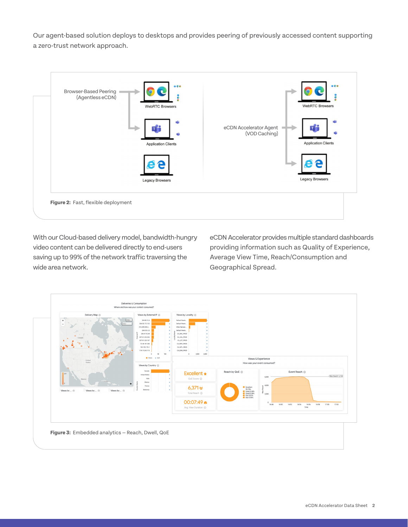Our agent-based solution deploys to desktops and provides peering of previously accessed content supporting a zero-trust network approach.



With our Cloud-based delivery model, bandwidth-hungry video content can be delivered directly to end-users saving up to 99% of the network traffic traversing the wide area network.

eCDN Accelerator provides multiple standard dashboards providing information such as Quality of Experience, Average View Time, Reach/Consumption and Geographical Spread.